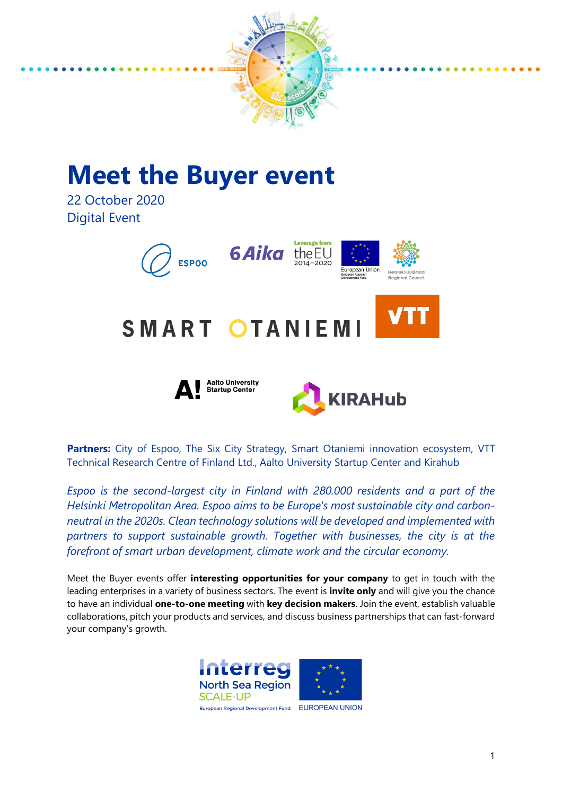

# **Meet the Buyer event**

22 October 2020 Digital Event



**Partners:** City of Espoo, The Six City Strategy, Smart Otaniemi innovation ecosystem, VTT Technical Research Centre of Finland Ltd., Aalto University Startup Center and Kirahub

*Espoo is the second-largest city in Finland with 280.000 residents and a part of the Helsinki Metropolitan Area. Espoo aims to be Europe's most sustainable city and carbonneutral in the 2020s. Clean technology solutions will be developed and implemented with partners to support sustainable growth. Together with businesses, the city is at the forefront of smart urban development, climate work and the circular economy.*

Meet the Buyer events offer **interesting opportunities for your company** to get in touch with the leading enterprises in a variety of business sectors. The event is **invite only** and will give you the chance to have an individual **one-to-one meeting** with **key decision makers**. Join the event, establish valuable collaborations, pitch your products and services, and discuss business partnerships that can fast-forward your company's growth.

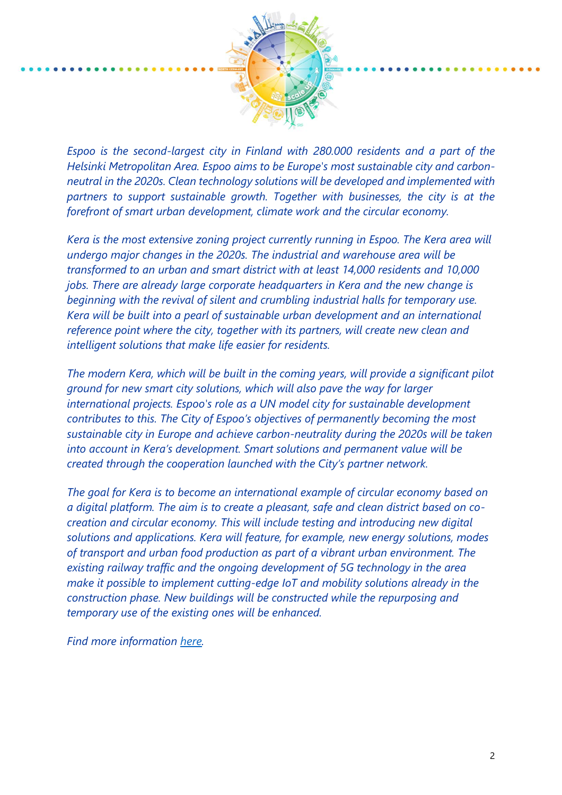

*Espoo is the second-largest city in Finland with 280.000 residents and a part of the Helsinki Metropolitan Area. Espoo aims to be Europe's most sustainable city and carbonneutral in the 2020s. Clean technology solutions will be developed and implemented with partners to support sustainable growth. Together with businesses, the city is at the forefront of smart urban development, climate work and the circular economy.*

*Kera is the most extensive zoning project currently running in Espoo. The Kera area will undergo major changes in the 2020s. The industrial and warehouse area will be transformed to an urban and smart district with at least 14,000 residents and 10,000 jobs. There are already large corporate headquarters in Kera and the new change is beginning with the revival of silent and crumbling industrial halls for temporary use. Kera will be built into a pearl of sustainable urban development and an international reference point where the city, together with its partners, will create new clean and intelligent solutions that make life easier for residents.* 

*The modern Kera, which will be built in the coming years, will provide a significant pilot ground for new smart city solutions, which will also pave the way for larger international projects. Espoo's role as a UN model city for sustainable development contributes to this. The City of Espoo's objectives of permanently becoming the most sustainable city in Europe and achieve carbon-neutrality during the 2020s will be taken into account in Kera's development. Smart solutions and permanent value will be created through the cooperation launched with the City's partner network.* 

*The goal for Kera is to become an international example of circular economy based on a digital platform. The aim is to create a pleasant, safe and clean district based on cocreation and circular economy. This will include testing and introducing new digital solutions and applications. Kera will feature, for example, new energy solutions, modes of transport and urban food production as part of a vibrant urban environment. The existing railway traffic and the ongoing development of 5G technology in the area make it possible to implement cutting-edge IoT and mobility solutions already in the construction phase. New buildings will be constructed while the repurposing and temporary use of the existing ones will be enhanced.*

*Find more information [here.](https://www.espoo.fi/en-US/Housing_and_environment/Districts/Kera)*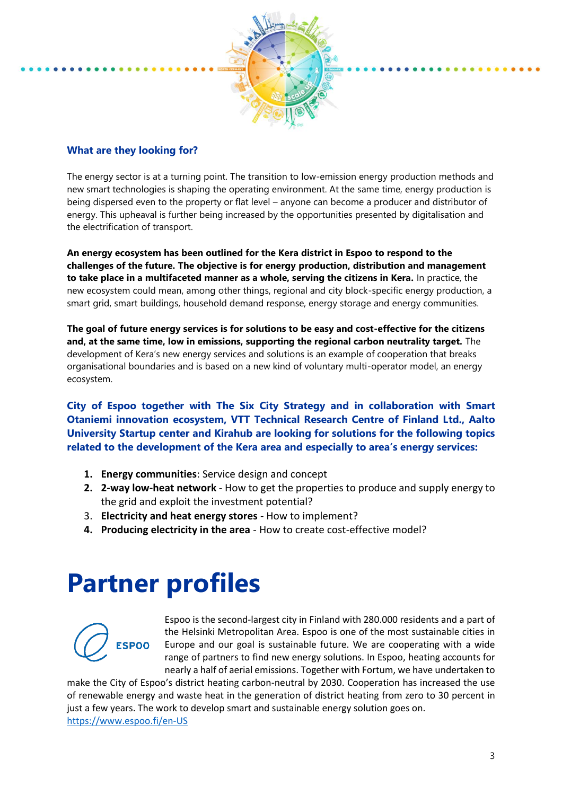

### **What are they looking for?**

The energy sector is at a turning point. The transition to low-emission energy production methods and new smart technologies is shaping the operating environment. At the same time, energy production is being dispersed even to the property or flat level – anyone can become a producer and distributor of energy. This upheaval is further being increased by the opportunities presented by digitalisation and the electrification of transport.

**An energy ecosystem has been outlined for the Kera district in Espoo to respond to the challenges of the future. The objective is for energy production, distribution and management to take place in a multifaceted manner as a whole, serving the citizens in Kera.** In practice, the new ecosystem could mean, among other things, regional and city block-specific energy production, a smart grid, smart buildings, household demand response, energy storage and energy communities.

**The goal of future energy services is for solutions to be easy and cost-effective for the citizens and, at the same time, low in emissions, supporting the regional carbon neutrality target.** The development of Kera's new energy services and solutions is an example of cooperation that breaks organisational boundaries and is based on a new kind of voluntary multi-operator model, an energy ecosystem.

**City of Espoo together with The Six City Strategy and in collaboration with Smart Otaniemi innovation ecosystem, VTT Technical Research Centre of Finland Ltd., Aalto University Startup center and Kirahub are looking for solutions for the following topics related to the development of the Kera area and especially to area's energy services:**

- **1. Energy communities**: Service design and concept
- **2. 2-way low-heat network** How to get the properties to produce and supply energy to the grid and exploit the investment potential?
- 3. **Electricity and heat energy stores**  How to implement?
- **4. Producing electricity in the area** How to create cost-effective model?

# **Partner profiles**



Espoo is the second-largest city in Finland with 280.000 residents and a part of the Helsinki Metropolitan Area. Espoo is one of the most sustainable cities in Europe and our goal is sustainable future. We are cooperating with a wide range of partners to find new energy solutions. In Espoo, heating accounts for nearly a half of aerial emissions. Together with Fortum, we have undertaken to

make the City of Espoo's district heating carbon-neutral by 2030. Cooperation has increased the use of renewable energy and waste heat in the generation of district heating from zero to 30 percent in just a few years. The work to develop smart and sustainable energy solution goes on. <https://www.espoo.fi/en-US>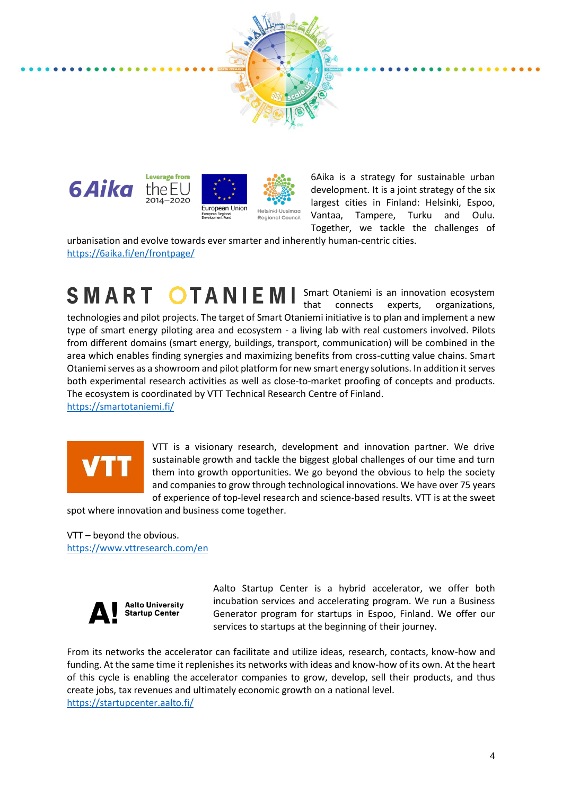



6Aika is a strategy for sustainable urban development. It is a joint strategy of the six largest cities in Finland: Helsinki, Espoo, Vantaa, Tampere, Turku and Oulu. Together, we tackle the challenges of

urbanisation and evolve towards ever smarter and inherently human-centric cities. <https://6aika.fi/en/frontpage/>

SMART OTANIEMI Smart Otaniemi is an innovation ecosystem that connects experts, organizations, technologies and pilot projects. The target of Smart Otaniemi initiative is to plan and implement a new type of smart energy piloting area and ecosystem - a living lab with real customers involved. Pilots from different domains (smart energy, buildings, transport, communication) will be combined in the area which enables finding synergies and maximizing benefits from cross-cutting value chains. Smart Otaniemi serves as a showroom and pilot platform for new smart energy solutions. In addition it serves both experimental research activities as well as close-to-market proofing of concepts and products. The ecosystem is coordinated by VTT Technical Research Centre of Finland.

<https://smartotaniemi.fi/>



VTT is a visionary research, development and innovation partner. We drive sustainable growth and tackle the biggest global challenges of our time and turn them into growth opportunities. We go beyond the obvious to help the society and companies to grow through technological innovations. We have over 75 years of experience of top-level research and science-based results. VTT is at the sweet

spot where innovation and business come together.

VTT – beyond the obvious. <https://www.vttresearch.com/en>



Aalto Startup Center is a hybrid accelerator, we offer both incubation services and accelerating program. We run a Business Generator program for startups in Espoo, Finland. We offer our services to startups at the beginning of their journey.

From its networks the accelerator can facilitate and utilize ideas, research, contacts, know-how and funding. At the same time it replenishes its networks with ideas and know-how of its own. At the heart of this cycle is enabling the accelerator companies to grow, develop, sell their products, and thus create jobs, tax revenues and ultimately economic growth on a national level. <https://startupcenter.aalto.fi/>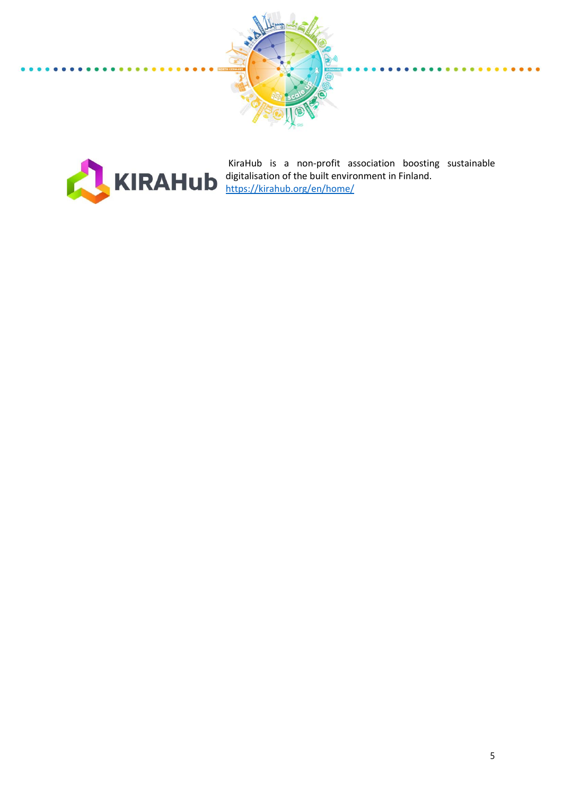



KiraHub is a non-profit association boosting sustainable digitalisation of the built environment in Finland. <https://kirahub.org/en/home/>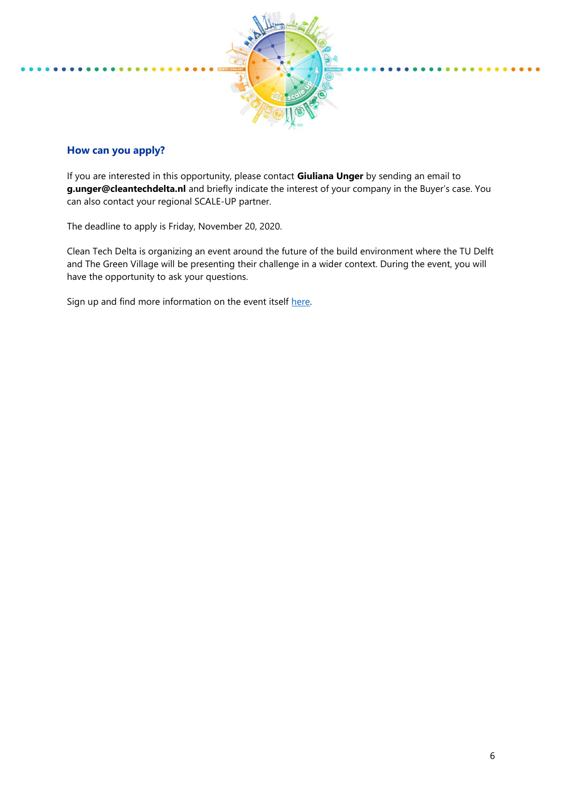

## **How can you apply?**

If you are interested in this opportunity, please contact **Giuliana Unger** by sending an email to **g.unger@cleantechdelta.nl** and briefly indicate the interest of your company in the Buyer's case. You can also contact your regional SCALE-UP partner.

The deadline to apply is Friday, November 20, 2020.

Clean Tech Delta is organizing an event around the future of the build environment where the TU Delft and The Green Village will be presenting their challenge in a wider context. During the event, you will have the opportunity to ask your questions.

Sign up and find more information on the event itself [here.](https://www.cleantechdelta.nl/events/)